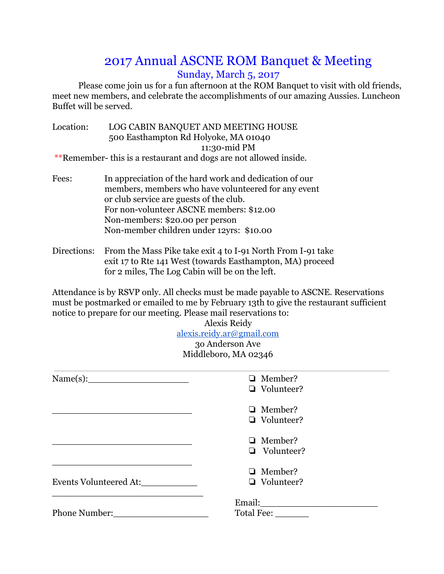## 2017 Annual ASCNE ROM Banquet & Meeting Sunday, March 5, 2017

Please come join us for a fun afternoon at the ROM Banquet to visit with old friends, meet new members, and celebrate the accomplishments of our amazing Aussies. Luncheon Buffet will be served.

| Location: | LOG CABIN BANQUET AND MEETING HOUSE                              |
|-----------|------------------------------------------------------------------|
|           | 500 Easthampton Rd Holyoke, MA 01040                             |
|           | 11:30-mid PM                                                     |
|           | **Remember-this is a restaurant and dogs are not allowed inside. |

- Fees: In appreciation of the hard work and dedication of our members, members who have volunteered for any event or club service are guests of the club. For non-volunteer ASCNE members: \$12.00 Non-members: \$20.00 per person Non-member children under 12yrs: \$10.00
- Directions: From the Mass Pike take exit 4 to I-91 North From I-91 take exit 17 to Rte 141 West (towards Easthampton, MA) proceed for 2 miles, The Log Cabin will be on the left.

Attendance is by RSVP only. All checks must be made payable to ASCNE. Reservations must be postmarked or emailed to me by February 13th to give the restaurant sufficient notice to prepare for our meeting. Please mail reservations to:

Alexis Reidy [alexis.reidy.ar@gmail.com](mailto:alexis.reidy.ar@gmail.com) 3o Anderson Ave Middleboro, MA 02346 Name(s):\_\_\_\_\_\_\_\_\_\_\_\_\_\_\_\_\_\_ ❏ Member? ❏ Volunteer? \_\_\_\_\_\_\_\_\_\_\_\_\_\_\_\_\_\_\_\_\_\_\_\_\_ \_\_\_\_\_\_\_\_\_\_\_\_\_\_\_\_\_\_\_\_\_\_\_\_\_ \_\_\_\_\_\_\_\_\_\_\_\_\_\_\_\_\_\_\_\_\_\_\_\_\_ ❏ Member? ❏ Volunteer? ❏ Member? ❏ Volunteer?

Events Volunteered At:\_\_\_\_\_\_\_\_\_\_

Phone Number:\_\_\_\_\_\_\_\_\_\_\_\_\_\_\_\_\_

 $\mathcal{L}_\text{max}$  and  $\mathcal{L}_\text{max}$  and  $\mathcal{L}_\text{max}$ 

Email:\_\_\_\_\_\_\_\_\_\_\_\_\_\_\_\_\_\_\_\_\_ Total Fee:

❏ Member? ❏ Volunteer?